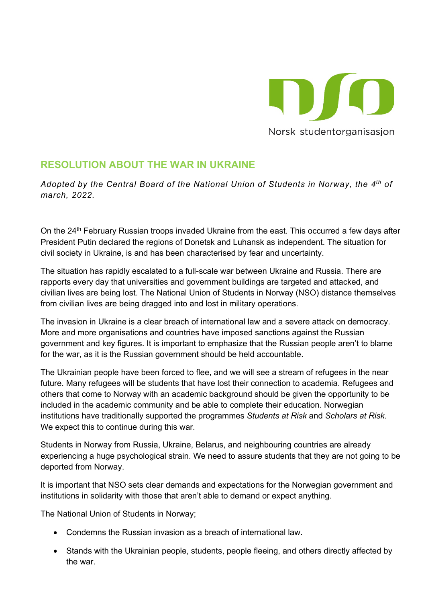

## **RESOLUTION ABOUT THE WAR IN UKRAINE**

*Adopted by the Central Board of the National Union of Students in Norway, the 4th of march, 2022.*

On the 24<sup>th</sup> February Russian troops invaded Ukraine from the east. This occurred a few days after President Putin declared the regions of Donetsk and Luhansk as independent. The situation for civil society in Ukraine, is and has been characterised by fear and uncertainty.

The situation has rapidly escalated to a full-scale war between Ukraine and Russia. There are rapports every day that universities and government buildings are targeted and attacked, and civilian lives are being lost. The National Union of Students in Norway (NSO) distance themselves from civilian lives are being dragged into and lost in military operations.

The invasion in Ukraine is a clear breach of international law and a severe attack on democracy. More and more organisations and countries have imposed sanctions against the Russian government and key figures. It is important to emphasize that the Russian people aren't to blame for the war, as it is the Russian government should be held accountable.

The Ukrainian people have been forced to flee, and we will see a stream of refugees in the near future. Many refugees will be students that have lost their connection to academia. Refugees and others that come to Norway with an academic background should be given the opportunity to be included in the academic community and be able to complete their education. Norwegian institutions have traditionally supported the programmes *Students at Risk* and *Scholars at Risk.*  We expect this to continue during this war.

Students in Norway from Russia, Ukraine, Belarus, and neighbouring countries are already experiencing a huge psychological strain. We need to assure students that they are not going to be deported from Norway.

It is important that NSO sets clear demands and expectations for the Norwegian government and institutions in solidarity with those that aren't able to demand or expect anything.

The National Union of Students in Norway;

- Condemns the Russian invasion as a breach of international law.
- Stands with the Ukrainian people, students, people fleeing, and others directly affected by the war.